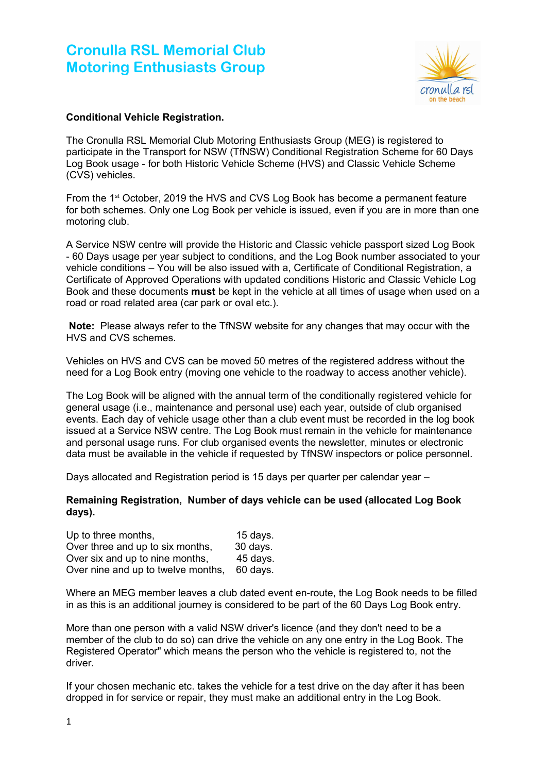# **Cronulla RSL Memorial Club Motoring Enthusiasts Group**



## **Conditional Vehicle Registration.**

The Cronulla RSL Memorial Club Motoring Enthusiasts Group (MEG) is registered to participate in the Transport for NSW (TfNSW) Conditional Registration Scheme for 60 Days Log Book usage - for both Historic Vehicle Scheme (HVS) and Classic Vehicle Scheme (CVS) vehicles.

From the 1st October, 2019 the HVS and CVS Log Book has become a permanent feature for both schemes. Only one Log Book per vehicle is issued, even if you are in more than one motoring club.

A Service NSW centre will provide the Historic and Classic vehicle passport sized Log Book - 60 Days usage per year subject to conditions, and the Log Book number associated to your vehicle conditions – You will be also issued with a, Certificate of Conditional Registration, a Certificate of Approved Operations with updated conditions Historic and Classic Vehicle Log Book and these documents **must** be kept in the vehicle at all times of usage when used on a road or road related area (car park or oval etc.).

**Note:** Please always refer to the TfNSW website for any changes that may occur with the HVS and CVS schemes.

Vehicles on HVS and CVS can be moved 50 metres of the registered address without the need for a Log Book entry (moving one vehicle to the roadway to access another vehicle).

The Log Book will be aligned with the annual term of the conditionally registered vehicle for general usage (i.e., maintenance and personal use) each year, outside of club organised events. Each day of vehicle usage other than a club event must be recorded in the log book issued at a Service NSW centre. The Log Book must remain in the vehicle for maintenance and personal usage runs. For club organised events the newsletter, minutes or electronic data must be available in the vehicle if requested by TfNSW inspectors or police personnel.

Days allocated and Registration period is 15 days per quarter per calendar year –

#### **Remaining Registration, Number of days vehicle can be used (allocated Log Book days).**

| Up to three months,                | 15 days. |
|------------------------------------|----------|
| Over three and up to six months,   | 30 days. |
| Over six and up to nine months,    | 45 days. |
| Over nine and up to twelve months, | 60 days. |

Where an MEG member leaves a club dated event en-route, the Log Book needs to be filled in as this is an additional journey is considered to be part of the 60 Days Log Book entry.

More than one person with a valid NSW driver's licence (and they don't need to be a member of the club to do so) can drive the vehicle on any one entry in the Log Book. The Registered Operator" which means the person who the vehicle is registered to, not the driver.

If your chosen mechanic etc. takes the vehicle for a test drive on the day after it has been dropped in for service or repair, they must make an additional entry in the Log Book.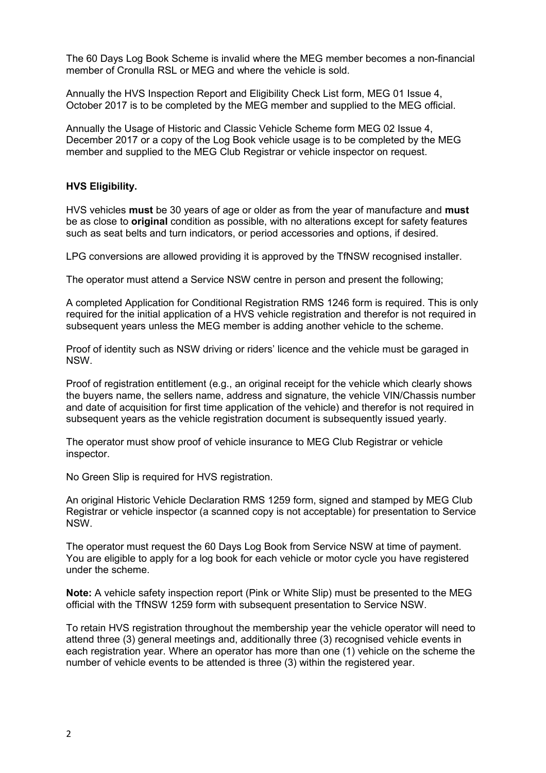The 60 Days Log Book Scheme is invalid where the MEG member becomes a non-financial member of Cronulla RSL or MEG and where the vehicle is sold.

Annually the HVS Inspection Report and Eligibility Check List form, MEG 01 Issue 4, October 2017 is to be completed by the MEG member and supplied to the MEG official.

Annually the Usage of Historic and Classic Vehicle Scheme form MEG 02 Issue 4, December 2017 or a copy of the Log Book vehicle usage is to be completed by the MEG member and supplied to the MEG Club Registrar or vehicle inspector on request.

### **HVS Eligibility.**

HVS vehicles **must** be 30 years of age or older as from the year of manufacture and **must** be as close to **original** condition as possible, with no alterations except for safety features such as seat belts and turn indicators, or period accessories and options, if desired.

LPG conversions are allowed providing it is approved by the TfNSW recognised installer.

The operator must attend a Service NSW centre in person and present the following;

A completed Application for Conditional Registration RMS 1246 form is required. This is only required for the initial application of a HVS vehicle registration and therefor is not required in subsequent years unless the MEG member is adding another vehicle to the scheme.

Proof of identity such as NSW driving or riders' licence and the vehicle must be garaged in NSW.

Proof of registration entitlement (e.g., an original receipt for the vehicle which clearly shows the buyers name, the sellers name, address and signature, the vehicle VIN/Chassis number and date of acquisition for first time application of the vehicle) and therefor is not required in subsequent years as the vehicle registration document is subsequently issued yearly.

The operator must show proof of vehicle insurance to MEG Club Registrar or vehicle inspector.

No Green Slip is required for HVS registration.

An original Historic Vehicle Declaration RMS 1259 form, signed and stamped by MEG Club Registrar or vehicle inspector (a scanned copy is not acceptable) for presentation to Service NSW.

The operator must request the 60 Days Log Book from Service NSW at time of payment. You are eligible to apply for a log book for each vehicle or motor cycle you have registered under the scheme.

**Note:** A vehicle safety inspection report (Pink or White Slip) must be presented to the MEG official with the TfNSW 1259 form with subsequent presentation to Service NSW.

To retain HVS registration throughout the membership year the vehicle operator will need to attend three (3) general meetings and, additionally three (3) recognised vehicle events in each registration year. Where an operator has more than one (1) vehicle on the scheme the number of vehicle events to be attended is three (3) within the registered year.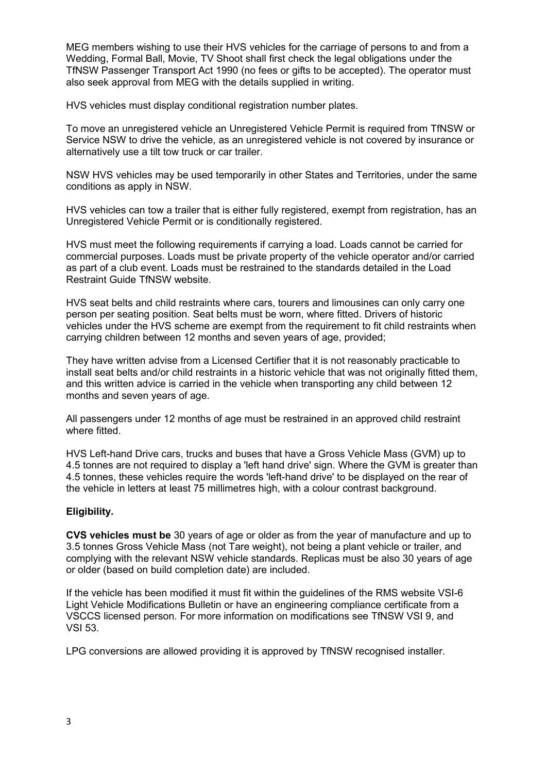MEG members wishing to use their HVS vehicles for the carriage of persons to and from a Wedding, Formal Ball, Movie, TV Shoot shall first check the legal obligations under the TfNSW Passenger Transport Act 1990 (no fees or gifts to be accepted). The operator must also seek approval from MEG with the details supplied in writing.

HVS vehicles must display conditional registration number plates.

To move an unregistered vehicle an Unregistered Vehicle Permit is required from TfNSW or Service NSW to drive the vehicle, as an unregistered vehicle is not covered by insurance or alternatively use a tilt tow truck or car trailer.

NSW HVS vehicles may be used temporarily in other States and Territories, under the same conditions as apply in NSW.

HVS vehicles can tow a trailer that is either fully registered, exempt from registration, has an Unregistered Vehicle Permit or is conditionally registered.

HVS must meet the following requirements if carrying a load. Loads cannot be carried for commercial purposes. Loads must be private property of the vehicle operator and/or carried as part of a club event. Loads must be restrained to the standards detailed in the Load Restraint Guide TfNSW website.

HVS seat belts and child restraints where cars, tourers and limousines can only carry one person per seating position. Seat belts must be worn, where fitted. Drivers of historic vehicles under the HVS scheme are exempt from the requirement to fit child restraints when carrying children between 12 months and seven years of age, provided;

They have written advise from a Licensed Certifier that it is not reasonably practicable to install seat belts and/or child restraints in a historic vehicle that was not originally fitted them, and this written advice is carried in the vehicle when transporting any child between 12 months and seven years of age.

All passengers under 12 months of age must be restrained in an approved child restraint where fitted.

HVS Left-hand Drive cars, trucks and buses that have a Gross Vehicle Mass (GVM) up to 4.5 tonnes are not required to display a 'left hand drive' sign. Where the GVM is greater than 4.5 tonnes, these vehicles require the words 'left-hand drive' to be displayed on the rear of the vehicle in letters at least 75 millimetres high, with a colour contrast background.

#### **Eligibility.**

**CVS vehicles must be** 30 years of age or older as from the year of manufacture and up to 3.5 tonnes Gross Vehicle Mass (not Tare weight), not being a plant vehicle or trailer, and complying with the relevant NSW vehicle standards. Replicas must be also 30 years of age or older (based on build completion date) are included.

If the vehicle has been modified it must fit within the guidelines of the RMS website VSI-6 Light Vehicle Modifications Bulletin or have an engineering compliance certificate from a VSCCS licensed person. For more information on modifications see TfNSW VSI 9, and VSI 53.

LPG conversions are allowed providing it is approved by TfNSW recognised installer.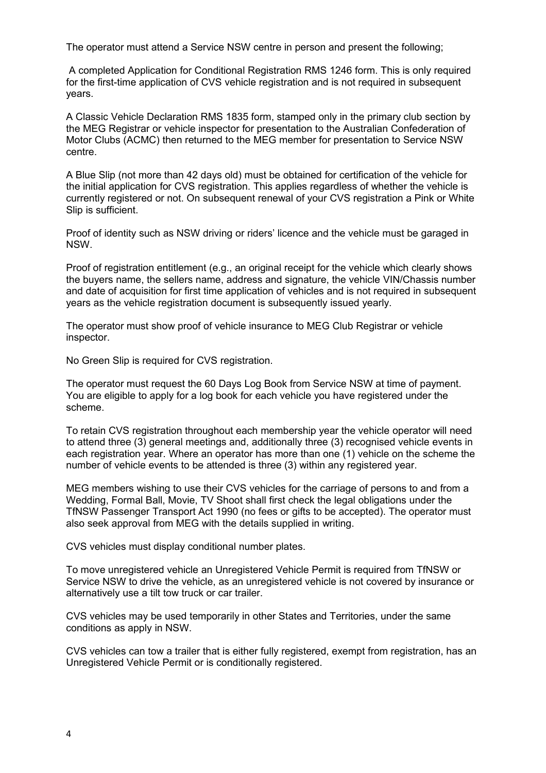The operator must attend a Service NSW centre in person and present the following;

 A completed Application for Conditional Registration RMS 1246 form. This is only required for the first-time application of CVS vehicle registration and is not required in subsequent years.

A Classic Vehicle Declaration RMS 1835 form, stamped only in the primary club section by the MEG Registrar or vehicle inspector for presentation to the Australian Confederation of Motor Clubs (ACMC) then returned to the MEG member for presentation to Service NSW centre.

A Blue Slip (not more than 42 days old) must be obtained for certification of the vehicle for the initial application for CVS registration. This applies regardless of whether the vehicle is currently registered or not. On subsequent renewal of your CVS registration a Pink or White Slip is sufficient.

Proof of identity such as NSW driving or riders' licence and the vehicle must be garaged in NSW.

Proof of registration entitlement (e.g., an original receipt for the vehicle which clearly shows the buyers name, the sellers name, address and signature, the vehicle VIN/Chassis number and date of acquisition for first time application of vehicles and is not required in subsequent years as the vehicle registration document is subsequently issued yearly.

The operator must show proof of vehicle insurance to MEG Club Registrar or vehicle inspector.

No Green Slip is required for CVS registration.

The operator must request the 60 Days Log Book from Service NSW at time of payment. You are eligible to apply for a log book for each vehicle you have registered under the scheme.

To retain CVS registration throughout each membership year the vehicle operator will need to attend three (3) general meetings and, additionally three (3) recognised vehicle events in each registration year. Where an operator has more than one (1) vehicle on the scheme the number of vehicle events to be attended is three (3) within any registered year.

MEG members wishing to use their CVS vehicles for the carriage of persons to and from a Wedding, Formal Ball, Movie, TV Shoot shall first check the legal obligations under the TfNSW Passenger Transport Act 1990 (no fees or gifts to be accepted). The operator must also seek approval from MEG with the details supplied in writing.

CVS vehicles must display conditional number plates.

To move unregistered vehicle an Unregistered Vehicle Permit is required from TfNSW or Service NSW to drive the vehicle, as an unregistered vehicle is not covered by insurance or alternatively use a tilt tow truck or car trailer.

CVS vehicles may be used temporarily in other States and Territories, under the same conditions as apply in NSW.

CVS vehicles can tow a trailer that is either fully registered, exempt from registration, has an Unregistered Vehicle Permit or is conditionally registered.